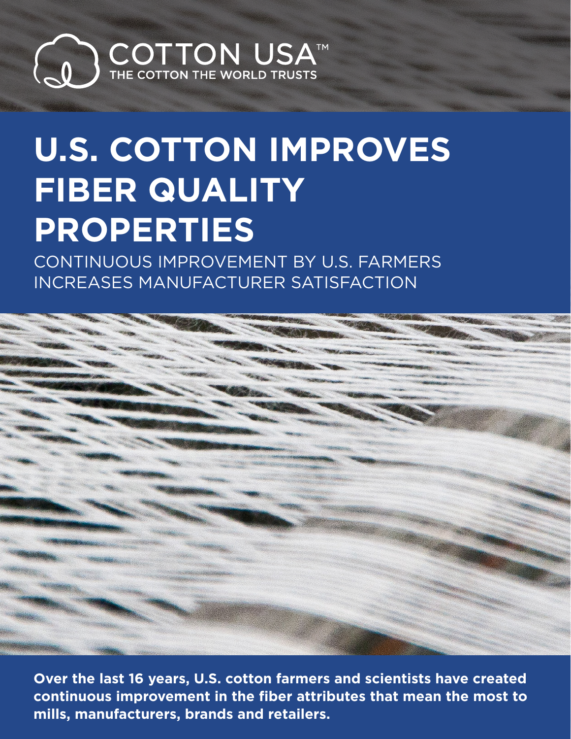

# **U.S. COTTON IMPROVES FIBER QUALITY PROPERTIES**

CONTINUOUS IMPROVEMENT BY U.S. FARMERS INCREASES MANUFACTURER SATISFACTION



**Over the last 16 years, U.S. cotton farmers and scientists have created continuous improvement in the fiber attributes that mean the most to mills, manufacturers, brands and retailers.**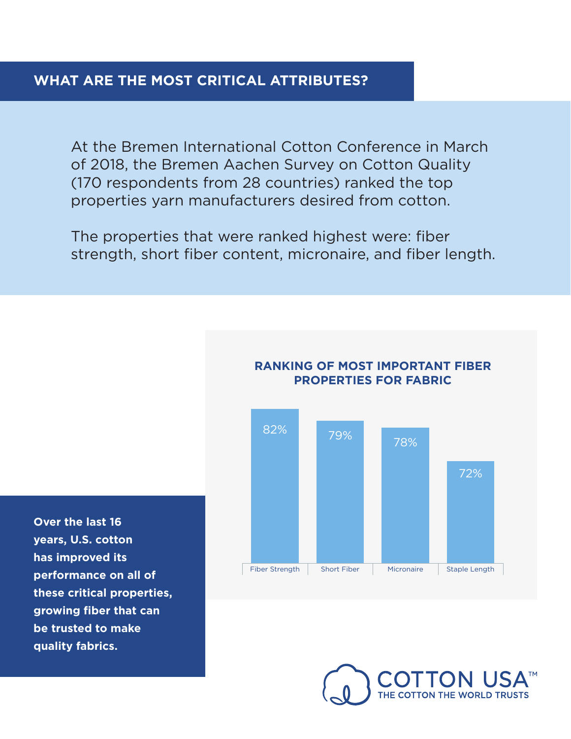At the Bremen International Cotton Conference in March of 2018, the Bremen Aachen Survey on Cotton Quality (170 respondents from 28 countries) ranked the top properties yarn manufacturers desired from cotton.

The properties that were ranked highest were: fiber strength, short fiber content, micronaire, and fiber length.



#### **RANKING OF MOST IMPORTANT FIBER PROPERTIES FOR FABRIC**

**Over the last 16 years, U.S. cotton has improved its performance on all of these critical properties, growing fiber that can be trusted to make quality fabrics.**

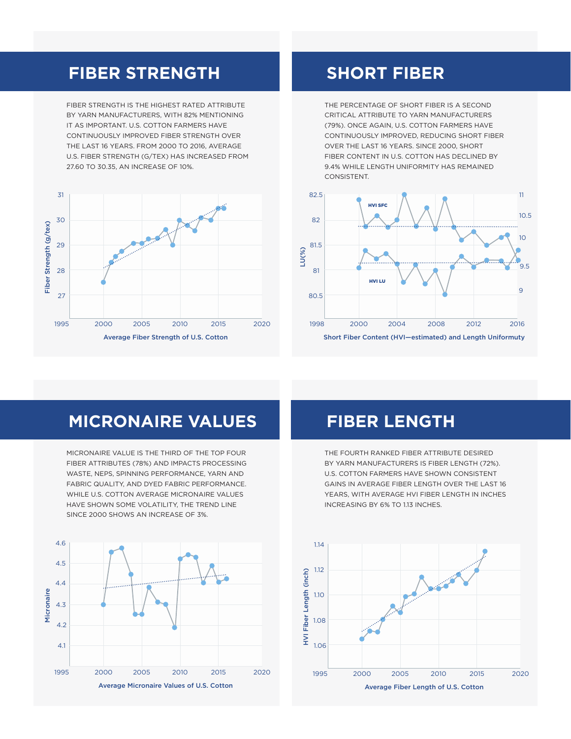### **FIBER STRENGTH**

FIBER STRENGTH IS THE HIGHEST RATED ATTRIBUTE BY YARN MANUFACTURERS, WITH 82% MENTIONING IT AS IMPORTANT. U.S. COTTON FARMERS HAVE CONTINUOUSLY IMPROVED FIBER STRENGTH OVER THE LAST 16 YEARS. FROM 2000 TO 2016, AVERAGE U.S. FIBER STRENGTH (G/TEX) HAS INCREASED FROM 27.60 TO 30.35, AN INCREASE OF 10%.



## **SHORT FIBER**

THE PERCENTAGE OF SHORT FIBER IS A SECOND CRITICAL ATTRIBUTE TO YARN MANUFACTURERS (79%). ONCE AGAIN, U.S. COTTON FARMERS HAVE CONTINUOUSLY IMPROVED, REDUCING SHORT FIBER OVER THE LAST 16 YEARS. SINCE 2000, SHORT FIBER CONTENT IN U.S. COTTON HAS DECLINED BY 9.4% WHILE LENGTH UNIFORMITY HAS REMAINED CONSISTENT.



# **MICRONAIRE VALUES**

MICRONAIRE VALUE IS THE THIRD OF THE TOP FOUR FIBER ATTRIBUTES (78%) AND IMPACTS PROCESSING WASTE, NEPS, SPINNING PERFORMANCE, YARN AND FABRIC QUALITY, AND DYED FABRIC PERFORMANCE. WHILE U.S. COTTON AVERAGE MICRONAIRE VALUES HAVE SHOWN SOME VOLATILITY, THE TREND LINE SINCE 2000 SHOWS AN INCREASE OF 3%.



# **FIBER LENGTH**

THE FOURTH RANKED FIBER ATTRIBUTE DESIRED BY YARN MANUFACTURERS IS FIBER LENGTH (72%). U.S. COTTON FARMERS HAVE SHOWN CONSISTENT GAINS IN AVERAGE FIBER LENGTH OVER THE LAST 16 YEARS, WITH AVERAGE HVI FIBER LENGTH IN INCHES INCREASING BY 6% TO 1.13 INCHES.